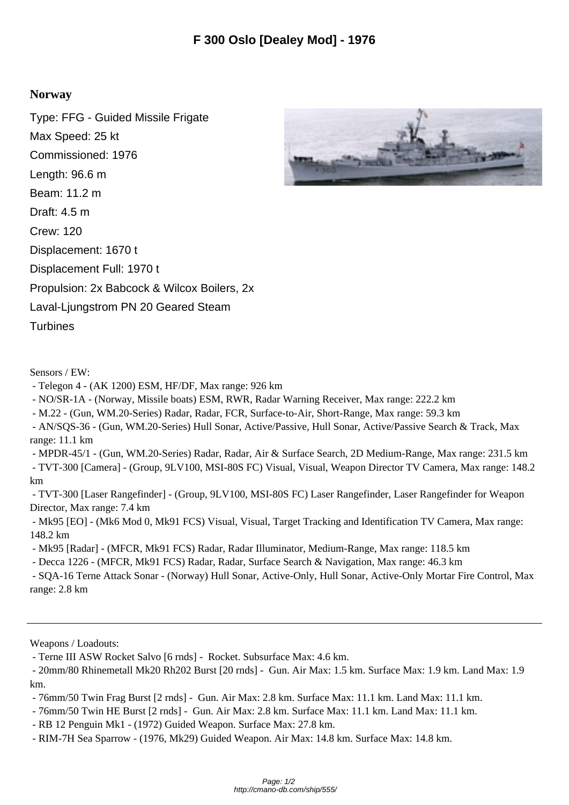## **Norway**

Type: FFG - Guided Missile Frigate Max Speed: 25 kt Commissioned: 1976 Length: 96.6 m Beam: 11.2 m Draft: 4.5 m Crew: 120 Displacement: 1670 t Displacement Full: 1970 t Propulsion: 2x Babcock & Wilcox Boilers, 2x Laval-Ljungstrom PN 20 Geared Steam **Turbines** 

Sensors / EW:

- Telegon 4 (AK 1200) ESM, HF/DF, Max range: 926 km
- NO/SR-1A (Norway, Missile boats) ESM, RWR, Radar Warning Receiver, Max range: 222.2 km
- M.22 (Gun, WM.20-Series) Radar, Radar, FCR, Surface-to-Air, Short-Range, Max range: 59.3 km
- AN/SQS-36 (Gun, WM.20-Series) Hull Sonar, Active/Passive, Hull Sonar, Active/Passive Search & Track, Max range: 11.1 km
- MPDR-45/1 (Gun, WM.20-Series) Radar, Radar, Air & Surface Search, 2D Medium-Range, Max range: 231.5 km - TVT-300 [Camera] - (Group, 9LV100, MSI-80S FC) Visual, Visual, Weapon Director TV Camera, Max range: 148.2 km

 - TVT-300 [Laser Rangefinder] - (Group, 9LV100, MSI-80S FC) Laser Rangefinder, Laser Rangefinder for Weapon Director, Max range: 7.4 km

 - Mk95 [EO] - (Mk6 Mod 0, Mk91 FCS) Visual, Visual, Target Tracking and Identification TV Camera, Max range: 148.2 km

- Mk95 [Radar] - (MFCR, Mk91 FCS) Radar, Radar Illuminator, Medium-Range, Max range: 118.5 km

- Decca 1226 - (MFCR, Mk91 FCS) Radar, Radar, Surface Search & Navigation, Max range: 46.3 km

 - SQA-16 Terne Attack Sonar - (Norway) Hull Sonar, Active-Only, Hull Sonar, Active-Only Mortar Fire Control, Max range: 2.8 km

Weapons / Loadouts:

- Terne III ASW Rocket Salvo [6 rnds] - Rocket. Subsurface Max: 4.6 km.

 - 20mm/80 Rhinemetall Mk20 Rh202 Burst [20 rnds] - Gun. Air Max: 1.5 km. Surface Max: 1.9 km. Land Max: 1.9 km.

- 76mm/50 Twin Frag Burst [2 rnds] - Gun. Air Max: 2.8 km. Surface Max: 11.1 km. Land Max: 11.1 km.

- 76mm/50 Twin HE Burst [2 rnds] - Gun. Air Max: 2.8 km. Surface Max: 11.1 km. Land Max: 11.1 km.

- RB 12 Penguin Mk1 - (1972) Guided Weapon. Surface Max: 27.8 km.

- RIM-7H Sea Sparrow - (1976, Mk29) Guided Weapon. Air Max: 14.8 km. Surface Max: 14.8 km.